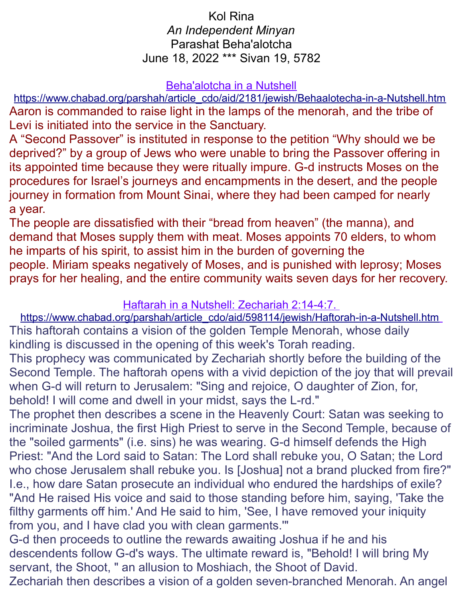## Kol Rina *An Independent Minyan* Parashat Beha'alotcha June 18, 2022 \*\*\* Sivan 19, 5782

#### Beha'alotcha in a Nutshell

[https://www.chabad.org/parshah/article\\_cdo/aid/2181/jewish/Behaalotecha-in-a-Nutshell.htm](https://www.chabad.org/parshah/article_cdo/aid/2181/jewish/Behaalotecha-in-a-Nutshell.htm) Aaron is commanded to raise light in the lamps of the menorah, and the tribe of Levi is initiated into the service in the Sanctuary.

A "Second Passover" is instituted in response to the petition "Why should we be deprived?" by a group of Jews who were unable to bring the Passover offering in its appointed time because they were ritually impure. G-d instructs Moses on the procedures for Israel's journeys and encampments in the desert, and the people journey in formation from Mount Sinai, where they had been camped for nearly a year.

The people are dissatisfied with their "bread from heaven" (the manna), and demand that Moses supply them with meat. Moses appoints 70 elders, to whom he imparts of his spirit, to assist him in the burden of governing the people. Miriam speaks negatively of Moses, and is punished with leprosy; Moses prays for her healing, and the entire community waits seven days for her recovery.

### Haftarah in a Nutshell: Zechariah 2:14-4:7.

 [https://www.chabad.org/parshah/article\\_cdo/aid/598114/jewish/Haftorah-in-a-Nutshell.htm](https://www.chabad.org/parshah/article_cdo/aid/598114/jewish/Haftorah-in-a-Nutshell.htm) This haftorah contains a vision of the golden Temple Menorah, whose daily kindling is discussed in the opening of this week's Torah reading. This prophecy was communicated by Zechariah shortly before the building of the Second Temple. The haftorah opens with a vivid depiction of the joy that will prevail when G-d will return to Jerusalem: "Sing and rejoice, O daughter of Zion, for, behold! I will come and dwell in your midst, says the L-rd."

The prophet then describes a scene in the Heavenly Court: Satan was seeking to incriminate Joshua, the first High Priest to serve in the Second Temple, because of the "soiled garments" (i.e. sins) he was wearing. G-d himself defends the High Priest: "And the Lord said to Satan: The Lord shall rebuke you, O Satan; the Lord who chose Jerusalem shall rebuke you. Is [Joshua] not a brand plucked from fire?" I.e., how dare Satan prosecute an individual who endured the hardships of exile? "And He raised His voice and said to those standing before him, saying, 'Take the filthy garments off him.' And He said to him, 'See, I have removed your iniquity from you, and I have clad you with clean garments.'"

G-d then proceeds to outline the rewards awaiting Joshua if he and his descendents follow G-d's ways. The ultimate reward is, "Behold! I will bring My servant, the Shoot, " an allusion to Moshiach, the Shoot of David.

Zechariah then describes a vision of a golden seven-branched Menorah. An angel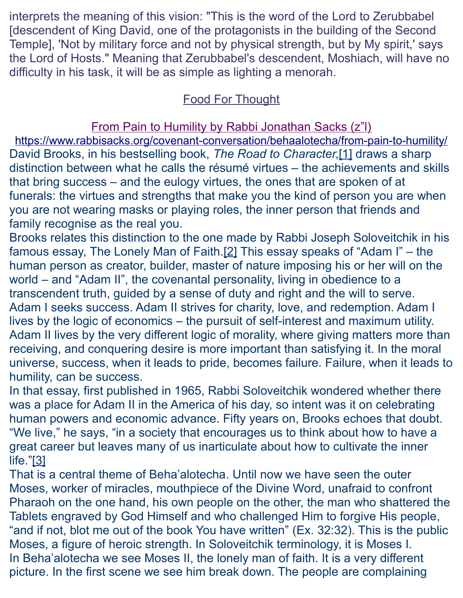interprets the meaning of this vision: "This is the word of the Lord to Zerubbabel [descendent of King David, one of the protagonists in the building of the Second Temple], 'Not by military force and not by physical strength, but by My spirit,' says the Lord of Hosts." Meaning that Zerubbabel's descendent, Moshiach, will have no difficulty in his task, it will be as simple as lighting a menorah.

# Food For Thought

From Pain to Humility by Rabbi Jonathan Sacks (z"l)

<https://www.rabbisacks.org/covenant-conversation/behaalotecha/from-pain-to-humility/> David Brooks, in his bestselling book, *The Road to Character*[,\[1\]](https://www.rabbisacks.org/covenant-conversation/behaalotecha/from-pain-to-humility/#_ftn1) draws a sharp distinction between what he calls the résumé virtues – the achievements and skills that bring success – and the eulogy virtues, the ones that are spoken of at funerals: the virtues and strengths that make you the kind of person you are when you are not wearing masks or playing roles, the inner person that friends and family recognise as the real you.

Brooks relates this distinction to the one made by Rabbi Joseph Soloveitchik in his famous essay, The Lonely Man of Faith[.\[2\]](https://www.rabbisacks.org/covenant-conversation/behaalotecha/from-pain-to-humility/#_ftn2) This essay speaks of "Adam I" – the human person as creator, builder, master of nature imposing his or her will on the world – and "Adam II", the covenantal personality, living in obedience to a transcendent truth, guided by a sense of duty and right and the will to serve. Adam I seeks success. Adam II strives for charity, love, and redemption. Adam I lives by the logic of economics – the pursuit of self-interest and maximum utility. Adam II lives by the very different logic of morality, where giving matters more than receiving, and conquering desire is more important than satisfying it. In the moral universe, success, when it leads to pride, becomes failure. Failure, when it leads to humility, can be success.

In that essay, first published in 1965, Rabbi Soloveitchik wondered whether there was a place for Adam II in the America of his day, so intent was it on celebrating human powers and economic advance. Fifty years on, Brooks echoes that doubt. "We live," he says, "in a society that encourages us to think about how to have a great career but leaves many of us inarticulate about how to cultivate the inner life.["\[3\]](https://www.rabbisacks.org/covenant-conversation/behaalotecha/from-pain-to-humility/#_ftn3)

That is a central theme of [Beha'alotecha.](https://www.rabbisacks.org/covenant-conversation/behaalotecha/) Until now we have seen the outer Moses, worker of miracles, mouthpiece of the Divine Word, unafraid to confront Pharaoh on the one hand, his own people on the other, the man who shattered the Tablets engraved by God Himself and who challenged Him to forgive His people, "and if not, blot me out of the book You have written" [\(Ex. 32:32\)](https://www.sefaria.org/Exodus.32.32?lang=he-en&utm_source=rabbisacks.org&utm_medium=sefaria_linker). This is the public Moses, a figure of heroic strength. In Soloveitchik terminology, it is Moses I. In Beha'alotecha we see Moses II, the lonely man of faith. It is a very different picture. In the first scene we see him break down. The people are complaining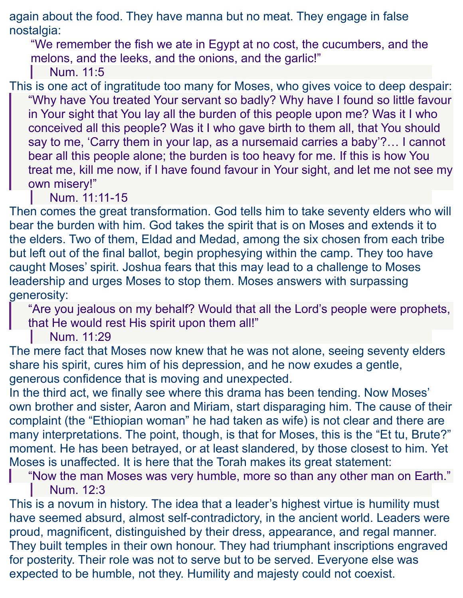again about the food. They have manna but no meat. They engage in false nostalgia:

"We remember the fish we ate in Egypt at no cost, the cucumbers, and the melons, and the leeks, and the onions, and the garlic!"

[Num. 11:5](https://www.sefaria.org/Numbers.11.5?lang=he-en&utm_source=rabbisacks.org&utm_medium=sefaria_linker)

This is one act of ingratitude too many for Moses, who gives voice to deep despair: "Why have You treated Your servant so badly? Why have I found so little favour in Your sight that You lay all the burden of this people upon me? Was it I who conceived all this people? Was it I who gave birth to them all, that You should say to me, 'Carry them in your lap, as a nursemaid carries a baby'?… I cannot bear all this people alone; the burden is too heavy for me. If this is how You treat me, kill me now, if I have found favour in Your sight, and let me not see my own misery!"

[Num. 11:11-15](https://www.sefaria.org/Numbers.11.11-15?lang=he-en&utm_source=rabbisacks.org&utm_medium=sefaria_linker)

Then comes the great transformation. God tells him to take seventy elders who will bear the burden with him. God takes the spirit that is on Moses and extends it to the elders. Two of them, Eldad and Medad, among the six chosen from each tribe but left out of the final ballot, begin prophesying within the camp. They too have caught Moses' spirit. Joshua fears that this may lead to a challenge to Moses leadership and urges Moses to stop them. Moses answers with surpassing generosity:

"Are you jealous on my behalf? Would that all the Lord's people were prophets, that He would rest His spirit upon them all!"

[Num. 11:29](https://www.sefaria.org/Numbers.11.29?lang=he-en&utm_source=rabbisacks.org&utm_medium=sefaria_linker)

The mere fact that Moses now knew that he was not alone, seeing seventy elders share his spirit, cures him of his depression, and he now exudes a gentle, generous confidence that is moving and unexpected.

In the third act, we finally see where this drama has been tending. Now Moses' own brother and sister, Aaron and Miriam, start disparaging him. The cause of their complaint (the "Ethiopian woman" he had taken as wife) is not clear and there are many interpretations. The point, though, is that for Moses, this is the "Et tu, Brute?" moment. He has been betrayed, or at least slandered, by those closest to him. Yet Moses is unaffected. It is here that the Torah makes its great statement:

"Now the man Moses was very humble, more so than any other man on Earth." [Num. 12:3](https://www.sefaria.org/Numbers.12.3?lang=he-en&utm_source=rabbisacks.org&utm_medium=sefaria_linker)

This is a novum in history. The idea that a leader's highest virtue is [humility](https://www.rabbisacks.org/quotes/humility-inspires-greatness/) must have seemed absurd, almost self-contradictory, in the ancient world. Leaders were proud, magnificent, distinguished by their dress, appearance, and regal manner. They built temples in their own honour. They had triumphant inscriptions engraved for posterity. Their role was not to serve but to be served. Everyone else was expected to be humble, not they. Humility and majesty could not coexist.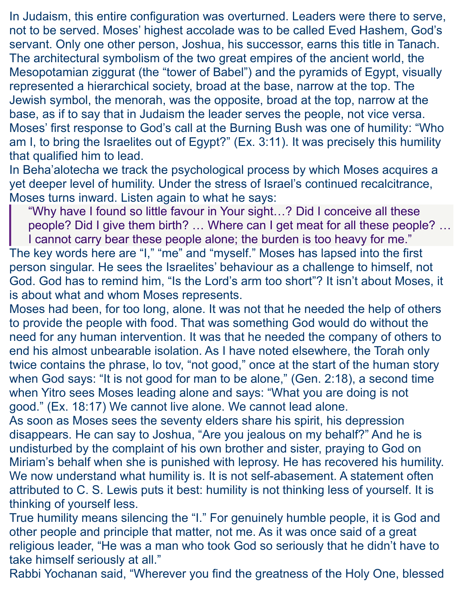In Judaism, this entire configuration was overturned. Leaders were there to serve, not to be served. Moses' highest accolade was to be called Eved Hashem, God's servant. Only one other person, Joshua, his successor, earns this title in Tanach. The architectural symbolism of the two great empires of the ancient world, the Mesopotamian ziggurat (the "tower of Babel") and the pyramids of Egypt, visually represented a hierarchical society, broad at the base, narrow at the top. The Jewish symbol, the menorah, was the opposite, broad at the top, narrow at the base, as if to say that in Judaism the leader serves the people, not vice versa. Moses' first response to God's call at the Burning Bush was one of humility: "Who am I, to bring the Israelites out of Egypt?" [\(Ex. 3:11\)](https://www.sefaria.org/Exodus.3.11?lang=he-en&utm_source=rabbisacks.org&utm_medium=sefaria_linker). It was precisely this humility that qualified him to lead.

In Beha'alotecha we track the psychological process by which Moses acquires a yet deeper level of humility. Under the stress of Israel's continued recalcitrance, Moses turns inward. Listen again to what he says:

"Why have I found so little favour in Your sight…? Did I conceive all these people? Did I give them birth? … Where can I get meat for all these people? …

I cannot carry bear these people alone; the burden is too heavy for me." The key words here are "I," "me" and "myself." Moses has lapsed into the first person singular. He sees the Israelites' behaviour as a challenge to himself, not God. God has to remind him, "Is the Lord's arm too short"? It isn't about Moses, it is about what and whom Moses represents.

Moses had been, for too long, alone. It was not that he needed the help of others to provide the people with food. That was something God would do without the need for any human intervention. It was that he needed the company of others to end his almost unbearable isolation. As I have noted elsewhere, the Torah only twice contains the phrase, lo tov, "not good," once at the start of the human story when God says: "It is not good for man to be alone," [\(Gen. 2:18\)](https://www.sefaria.org/Genesis.2.18?lang=he-en&utm_source=rabbisacks.org&utm_medium=sefaria_linker), a second time when Yitro sees Moses leading alone and says: "What you are doing is not good." [\(Ex. 18:17\)](https://www.sefaria.org/Exodus.18.17?lang=he-en&utm_source=rabbisacks.org&utm_medium=sefaria_linker) We cannot live alone. We cannot lead alone.

As soon as Moses sees the seventy elders share his spirit, his depression disappears. He can say to Joshua, "Are you jealous on my behalf?" And he is undisturbed by the complaint of his own brother and sister, praying to God on Miriam's behalf when she is punished with leprosy. He has recovered his humility. We now understand what humility is. It is not self-abasement. A statement often attributed to C. S. Lewis puts it best: humility is not thinking less of yourself. It is thinking of yourself less.

True humility means silencing the "I." For genuinely humble people, it is God and other people and principle that matter, not me. As it was once said of a great religious leader, "He was a man who took God so seriously that he didn't have to take himself seriously at all."

Rabbi Yochanan said, "Wherever you find the greatness of the Holy One, blessed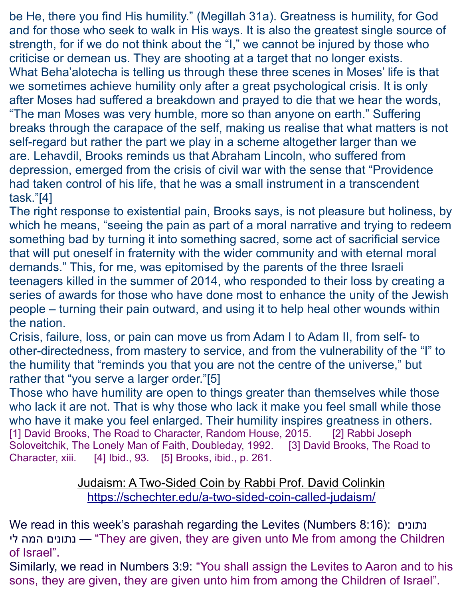be He, there you find His humility." [\(Megillah 31a\)](https://www.sefaria.org/Megillah.31a?lang=he-en&utm_source=rabbisacks.org&utm_medium=sefaria_linker). [Greatness is humility,](https://www.rabbisacks.org/quotes/greatness-is-humility/) for God and for those who seek to walk in His ways. It is also the greatest single source of strength, for if we do not think about the "I," we cannot be injured by those who criticise or demean us. They are shooting at a target that no longer exists. What Beha'alotecha is telling us through these three scenes in Moses' life is that we sometimes achieve humility only after a great psychological crisis. It is only after Moses had suffered a breakdown and prayed to die that we hear the words, "The man Moses was very humble, more so than anyone on earth." Suffering breaks through the carapace of the self, making us realise that what matters is not self-regard but rather the part we play in a scheme altogether larger than we are. Lehavdil, Brooks reminds us that Abraham Lincoln, who suffered from depression, emerged from the crisis of civil war with the sense that "Providence had taken control of his life, that he was a small instrument in a transcendent task.["\[4\]](https://www.rabbisacks.org/covenant-conversation/behaalotecha/from-pain-to-humility/#_ftn4)

The right response to existential pain, Brooks says, is not pleasure but holiness, by which he means, "seeing the pain as part of a moral narrative and trying to redeem something bad by turning it into something sacred, some act of sacrificial service that will put oneself in fraternity with the wider community and with eternal moral demands." This, for me, was epitomised by the parents of the three Israeli teenagers killed in the summer of 2014, who responded to their loss by creating a series of awards for those who have done most to enhance the unity of the Jewish people – turning their pain outward, and using it to help heal other wounds within the nation.

Crisis, failure, loss, or pain can move us from Adam I to Adam II, from self- to other-directedness, from mastery to service, and from the vulnerability of the "I" to the humility that "reminds you that you are not the centre of the universe," but rather that "you serve a larger order.["\[5\]](https://www.rabbisacks.org/covenant-conversation/behaalotecha/from-pain-to-humility/#_ftn5)

[Those who have humility](https://www.rabbisacks.org/quotes/strength-from-humility/) are open to things greater than themselves while those who lack it are not. That is why those who lack it make you feel small while those who have it make you feel enlarged. Their humility inspires greatness in others. [\[1\]](https://www.rabbisacks.org/covenant-conversation/behaalotecha/from-pain-to-humility/#_ftnref1) David Brooks, The Road to Character, Random House, 2015. [\[2\]](https://www.rabbisacks.org/covenant-conversation/behaalotecha/from-pain-to-humility/#_ftnref2) Rabbi Joseph Soloveitchik, The Lonely Man of Faith, Doubleday, 1992. [\[3\]](https://www.rabbisacks.org/covenant-conversation/behaalotecha/from-pain-to-humility/#_ftnref3) David Brooks, The Road to Character, xiii. [\[4\]](https://www.rabbisacks.org/covenant-conversation/behaalotecha/from-pain-to-humility/#_ftnref4) Ibid., 93. [\[5\]](https://www.rabbisacks.org/covenant-conversation/behaalotecha/from-pain-to-humility/#_ftnref5) Brooks, ibid., p. 261.

## Judaism: A Two-Sided Coin by Rabbi Prof. David Colinkin <https://schechter.edu/a-two-sided-coin-called-judaism/>

We read in this week's parashah regarding the Levites (Numbers 8:16): נתונים לי המה נתונים" — They are given, they are given unto Me from among the Children of Israel".

Similarly, we read in Numbers 3:9: "You shall assign the Levites to Aaron and to his sons, they are given, they are given unto him from among the Children of Israel".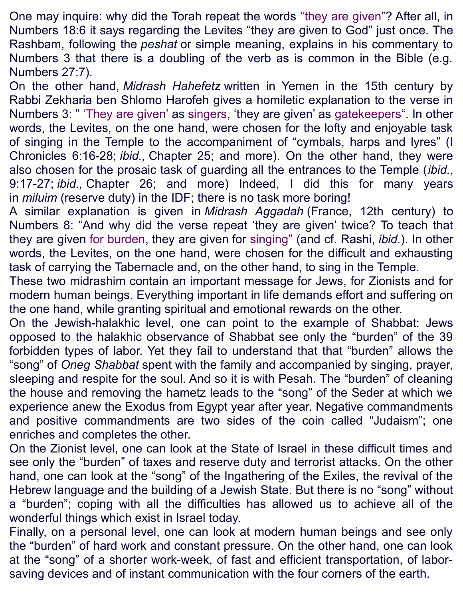One may inquire: why did the Torah repeat the words "they are given"? After all, in Numbers 18:6 it says regarding the Levites "they are given to God" just once. The Rashbam, following the *peshat* or simple meaning, explains in his commentary to Numbers 3 that there is a doubling of the verb as is common in the Bible (e.g. Numbers 27:7).

On the other hand, *Midrash Hahefetz* written in Yemen in the 15th century by Rabbi Zekharia ben Shlomo Harofeh gives a homiletic explanation to the verse in Numbers 3: " 'They are given' as singers, 'they are given' as gatekeepers". In other words, the Levites, on the one hand, were chosen for the lofty and enjoyable task of singing in the Temple to the accompaniment of "cymbals, harps and lyres" (I Chronicles 6:16-28; *ibid.,* Chapter 25; and more). On the other hand, they were also chosen for the prosaic task of guarding all the entrances to the Temple (*ibid.*, 9:17-27; *ibid.,* Chapter 26; and more) Indeed, I did this for many years in *miluim* (reserve duty) in the IDF; there is no task more boring!

A similar explanation is given in *Midrash Aggadah* (France, 12th century) to Numbers 8: "And why did the verse repeat 'they are given' twice? To teach that they are given for burden, they are given for singing" (and cf. Rashi, *ibid.*). In other words, the Levites, on the one hand, were chosen for the difficult and exhausting task of carrying the Tabernacle and, on the other hand, to sing in the Temple.

These two midrashim contain an important message for Jews, for Zionists and for modern human beings. Everything important in life demands effort and suffering on the one hand, while granting spiritual and emotional rewards on the other.

On the Jewish-halakhic level, one can point to the example of Shabbat: Jews opposed to the halakhic observance of Shabbat see only the "burden" of the 39 forbidden types of labor. Yet they fail to understand that that "burden" allows the "song" of *Oneg Shabbat* spent with the family and accompanied by singing, prayer, sleeping and respite for the soul. And so it is with Pesah. The "burden" of cleaning the house and removing the hametz leads to the "song" of the Seder at which we experience anew the Exodus from Egypt year after year. Negative commandments and positive commandments are two sides of the coin called "Judaism"; one enriches and completes the other.

On the Zionist level, one can look at the State of Israel in these difficult times and see only the "burden" of taxes and reserve duty and terrorist attacks. On the other hand, one can look at the "song" of the Ingathering of the Exiles, the revival of the Hebrew language and the building of a Jewish State. But there is no "song" without a "burden"; coping with all the difficulties has allowed us to achieve all of the wonderful things which exist in Israel today.

Finally, on a personal level, one can look at modern human beings and see only the "burden" of hard work and constant pressure. On the other hand, one can look at the "song" of a shorter work-week, of fast and efficient transportation, of laborsaving devices and of instant communication with the four corners of the earth.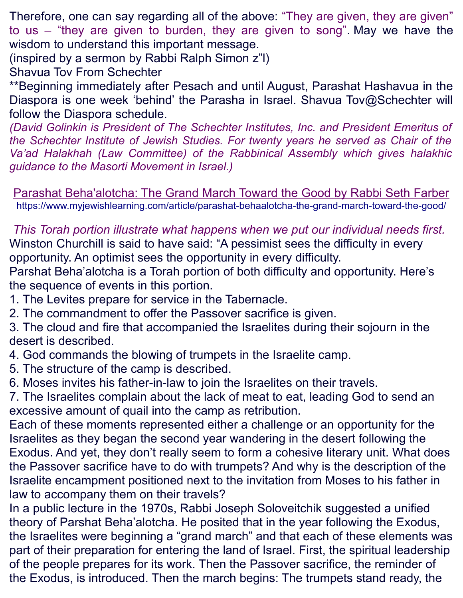Therefore, one can say regarding all of the above: "They are given, they are given" to us – "they are given to burden, they are given to song". May we have the wisdom to understand this important message.

(inspired by a sermon by Rabbi Ralph Simon z"l)

Shavua Tov From Schechter

\*\*Beginning immediately after Pesach and until August, Parashat Hashavua in the Diaspora is one week 'behind' the Parasha in Israel. Shavua Tov@Schechter will follow the Diaspora schedule.

*(David Golinkin is President of The Schechter Institutes, Inc. and President Emeritus of the Schechter Institute of Jewish Studies. For twenty years he served as Chair of the Va'ad Halakhah (Law Committee) of the Rabbinical Assembly which gives halakhic guidance to the Masorti Movement in Israel.)*

Parashat Beha'alotcha: The Grand March Toward the Good by Rabbi Seth Farber <https://www.myjewishlearning.com/article/parashat-behaalotcha-the-grand-march-toward-the-good/>

*This Torah portion illustrate what happens when we put our individual needs first.*  Winston Churchill is said to have said: "A pessimist sees the difficulty in every opportunity. An optimist sees the opportunity in every difficulty.

Parshat Beha'alotcha is a Torah portion of both difficulty and opportunity. Here's the sequence of events in this portion.

- 1. The Levites prepare for service in the Tabernacle.
- 2. The commandment to offer the Passover sacrifice is given.

3. The cloud and fire that accompanied the Israelites during their sojourn in the desert is described.

- 4. God commands the blowing of trumpets in the Israelite camp.
- 5. The structure of the camp is described.
- 6. Moses invites his father-in-law to join the Israelites on their travels.

7. The Israelites complain about the lack of meat to eat, leading God to send an excessive amount of quail into the camp as retribution.

Each of these moments represented either a challenge or an opportunity for the Israelites as they began the second year wandering in the desert following the Exodus. And yet, they don't really seem to form a cohesive literary unit. What does the Passover sacrifice have to do with trumpets? And why is the description of the Israelite encampment positioned next to the invitation from Moses to his father in law to accompany them on their travels?

In a public lecture in the 1970s, Rabbi Joseph Soloveitchik suggested a unified theory of Parshat Beha'alotcha. He posited that in the year following the Exodus, the Israelites were beginning a "grand march" and that each of these elements was part of their preparation for entering the land of Israel. First, the spiritual leadership of the people prepares for its work. Then the Passover sacrifice, the reminder of the Exodus, is introduced. Then the march begins: The trumpets stand ready, the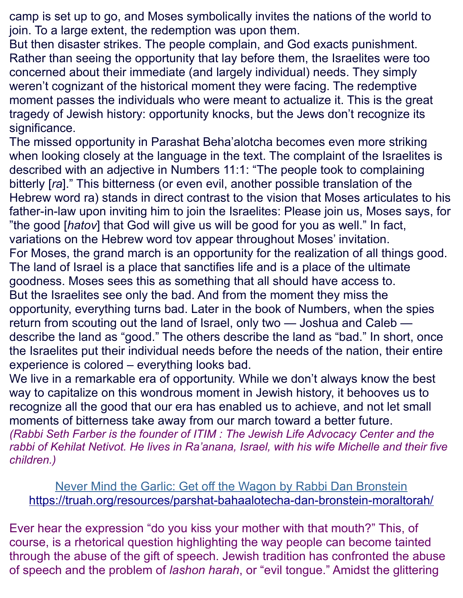camp is set up to go, and Moses symbolically invites the nations of the world to join. To a large extent, the redemption was upon them.

But then disaster strikes. The people complain, and God exacts punishment. Rather than seeing the opportunity that lay before them, the Israelites were too concerned about their immediate (and largely individual) needs. They simply weren't cognizant of the historical moment they were facing. The redemptive moment passes the individuals who were meant to actualize it. This is the great tragedy of Jewish history: opportunity knocks, but the Jews don't recognize its significance.

The missed opportunity in Parashat Beha'alotcha becomes even more striking when looking closely at the language in the text. The complaint of the Israelites is described with an adjective in [Numbers 11:1:](https://www.sefaria.org/Numbers.11.1?lang=he-en&utm_source=myjewishlearning.com&utm_medium=sefaria_linker) "The people took to complaining bitterly [*ra*]." This bitterness (or even evil, another possible translation of the Hebrew word ra) stands in direct contrast to the vision that Moses articulates to his father-in-law upon inviting him to join the Israelites: Please join us, Moses says, for "the good [*hatov*] that God will give us will be good for you as well." In fact, variations on the Hebrew word tov appear throughout Moses' invitation. For Moses, the grand march is an opportunity for the realization of all things good. The land of Israel is a place that sanctifies life and is a place of the ultimate goodness. Moses sees this as something that all should have access to. But the Israelites see only the bad. And from the moment they miss the opportunity, everything turns bad. Later in the book of Numbers, when the spies return from scouting out the land of Israel, only two — Joshua and Caleb describe the land as "good." The others describe the land as "bad." In short, once the Israelites put their individual needs before the needs of the nation, their entire experience is colored – everything looks bad.

We live in a remarkable era of opportunity. While we don't always know the best way to capitalize on this wondrous moment in Jewish history, it behooves us to recognize all the good that our era has enabled us to achieve, and not let small moments of bitterness take away from our march toward a better future. *(Rabbi Seth Farber is the founder of [ITIM](https://www.itim.org.il/en/) : The Jewish Life Advocacy Center and the rabbi of Kehilat Netivot. He lives in Ra'anana, Israel, with his wife Michelle and their five children.)*

Never Mind the Garlic: Get off the Wagon by Rabbi Dan Bronstein <https://truah.org/resources/parshat-bahaalotecha-dan-bronstein-moraltorah/>

Ever hear the expression "do you kiss your mother with that mouth?" This, of course, is a rhetorical question highlighting the way people can become tainted through the abuse of the gift of speech. Jewish tradition has confronted the abuse of speech and the problem of *lashon harah*, or "evil tongue." Amidst the glittering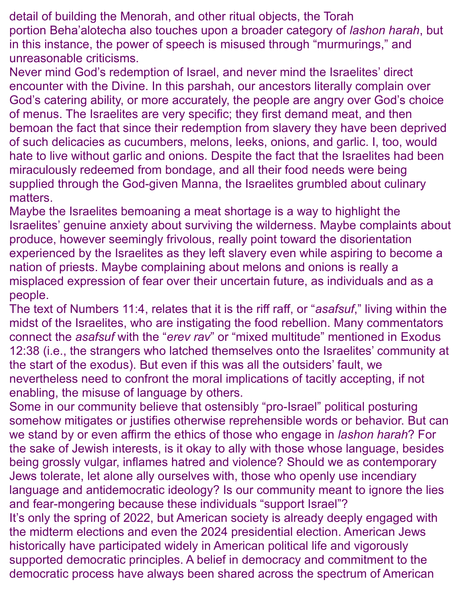detail of building the Menorah, and other ritual objects, the Torah portion Beha'alotecha also touches upon a broader category of *lashon harah*, but in this instance, the power of speech is misused through "murmurings," and unreasonable criticisms.

Never mind God's redemption of Israel, and never mind the Israelites' direct encounter with the Divine. In this parshah, our ancestors literally complain over God's catering ability, or more accurately, the people are angry over God's choice of menus. The Israelites are very specific; they first demand meat, and then bemoan the fact that since their redemption from slavery they have been deprived of such delicacies as cucumbers, melons, leeks, onions, and garlic. I, too, would hate to live without garlic and onions. Despite the fact that the Israelites had been miraculously redeemed from bondage, and all their food needs were being supplied through the God-given Manna, the Israelites grumbled about culinary matters.

Maybe the Israelites bemoaning a meat shortage is a way to highlight the Israelites' genuine anxiety about surviving the wilderness. Maybe complaints about produce, however seemingly frivolous, really point toward the disorientation experienced by the Israelites as they left slavery even while aspiring to become a nation of priests. Maybe complaining about melons and onions is really a misplaced expression of fear over their uncertain future, as individuals and as a people.

The text of [Numbers 11:4,](https://www.sefaria.org/Numbers.11.4?lang=bi&with=all&lang2=en) relates that it is the riff raff, or "*asafsuf*," living within the midst of the Israelites, who are instigating the food rebellion. Many commentators connect the *asafsuf* with the "*erev rav*" or "mixed multitude" mentioned in [Exodus](https://www.sefaria.org/Exodus.12.38?lang=bi&with=all&lang2=en)  [12:38](https://www.sefaria.org/Exodus.12.38?lang=bi&with=all&lang2=en) (i.e., the strangers who latched themselves onto the Israelites' community at the start of the exodus). But even if this was all the outsiders' fault, we nevertheless need to confront the moral implications of tacitly accepting, if not enabling, the misuse of language by others.

Some in our community believe that ostensibly "pro-Israel" political posturing somehow mitigates or justifies otherwise reprehensible words or behavior. But can we stand by or even affirm the ethics of those who engage in *lashon harah*? For the sake of Jewish interests, is it okay to ally with those whose language, besides being grossly vulgar, inflames hatred and violence? Should we as contemporary Jews tolerate, let alone ally ourselves with, those who openly use incendiary language and antidemocratic ideology? Is our community meant to ignore the lies and fear-mongering because these individuals "support Israel"?

It's only the spring of 2022, but American society is already deeply engaged with the midterm elections and even the 2024 presidential election. American Jews historically have participated widely in American political life and vigorously supported democratic principles. A belief in democracy and commitment to the democratic process have always been shared across the spectrum of American